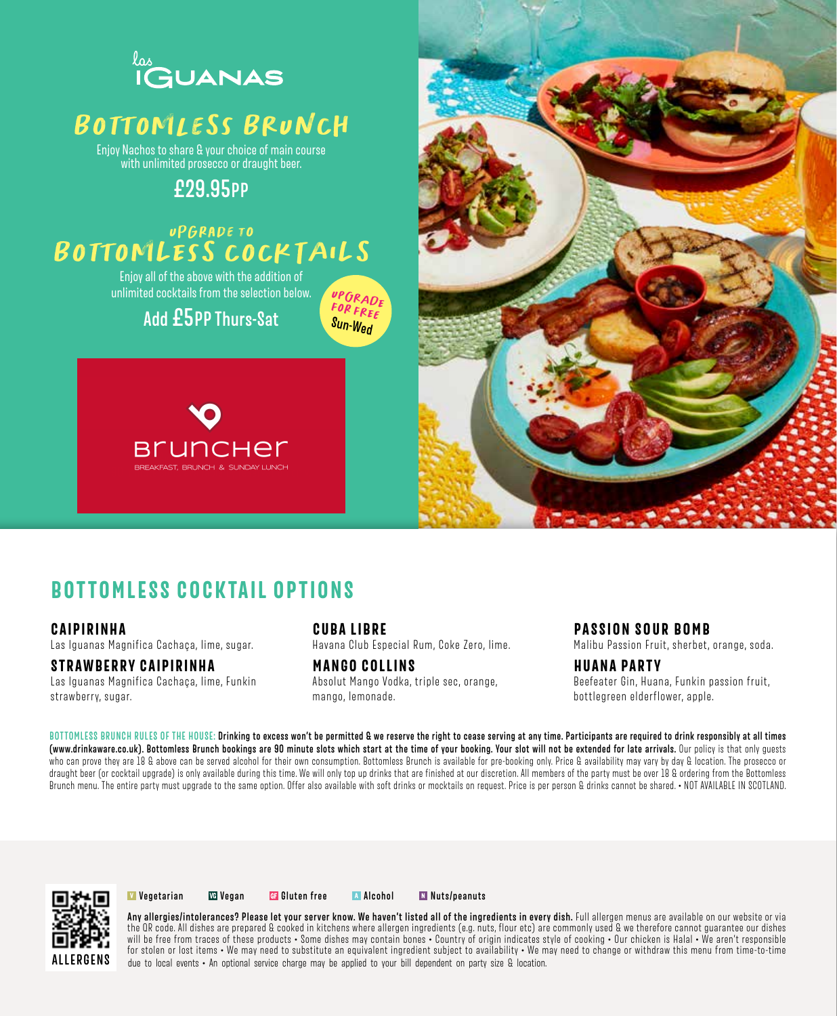

## BOttOMleSs BRUNCH

Enjoy Nachos to share & your choice of main course with unlimited prosecco or draught beer.

## **£29.95PP**

### UPGRADE TO BOTTOMLEsS COCKTAILS

Enjoy all of the above with the addition of unlimited cocktails from the selection below.

### **Add £5PP Thurs-Sat**

BREAKFAST, BRUNCH & SUNDAY LUNCH





## **BOTTOMLESS COCKTAIL OPTIONS**

#### **CAIPIRINHA**

Las Iguanas Magnifica Cachaça, lime, sugar.

#### **STRAWBERRY CAIPIRINHA**

Las Iguanas Magnifica Cachaça, lime, Funkin strawberry, sugar.

#### **CUBA LIBRE**

UPGRADE fOr fREe **Sun-Wed**

Havana Club Especial Rum, Coke Zero, lime.

#### **MANGO COLLINS**

Absolut Mango Vodka, triple sec, orange, mango, lemonade.

#### **PASSION SOUR BOMB**

Malibu Passion Fruit, sherbet, orange, soda.

#### **HUANA PARTY**

Beefeater Gin, Huana, Funkin passion fruit, bottlegreen elderflower, apple.

BOTTOMLESS BRUNCH RULES OF THE HOUSE: Drinking to excess won't be permitted & we reserve the right to cease serving at any time. Participants are required to drink responsibly at all times **(www.drinkaware.co.uk). Bottomless Brunch bookings are 9O minute slots which start at the time of your booking. Your slot will not be extended for late arrivals.** Our policy is that only guests who can prove they are 18 & above can be served alcohol for their own consumption. Bottomless Brunch is available for pre-booking only. Price & availability may vary by day & location. The prosecco or draught beer (or cocktail upgrade) is only available during this time. We will only top up drinks that are finished at our discretion. All members of the party must be over 18 & ordering from the Bottomless Brunch menu. The entire party must upgrade to the same option. Offer also available with soft drinks or mocktails on request. Price is per person & drinks cannot be shared. • NOT AVAILABLE IN SCOTLAND.

![](_page_0_Picture_23.jpeg)

**M** Vegetarian **We Vegan Gi Gluten free A** Alcohol **Nuts/peanuts** 

**Any allergies/intolerances? Please let your server know. We haven't listed all of the ingredients in every dish.** Full allergen menus are available on our website or via the QR code. All dishes are prepared & cooked in kitchens where allergen ingredients (e.g. nuts, flour etc) are commonly used & we therefore cannot guarantee our dishes will be free from traces of these products • Some dishes may contain bones • Country of origin indicates style of cooking • Our chicken is Halal • We aren't responsible for stolen or lost items • We may need to substitute an equivalent ingredient subject to availability • We may need to change or withdraw this menu from time-to-time due to local events • An optional service charge may be applied to your bill dependent on party size & location.